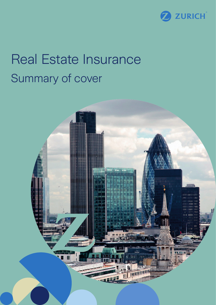

# Real Estate Insurance Summary of cover

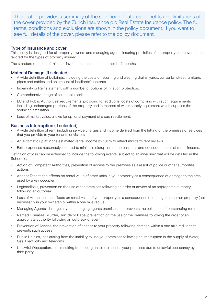This leaflet provides a summary of the significant features, benefits and limitations of the cover provided by the Zurich Insurance plc Real Estate Insurance policy. The full terms, conditions and exclusions are shown in the policy document. If you want to see full details of the cover, please refer to the policy document.

## Type of insurance and cover

This policy is designed for all property owners and managing agents insuring portfolios of let property and cover can be tailored for the types of property insured.

The standard duration of this non-investment insurance contract is 12 months.

## Material Damage (if selected)

- A wide definition of buildings, including the costs of repairing and clearing drains, yards, car parks, street furniture, pipes and cables and an amount of landlords' contents.
- Indemnity or Reinstatement with a number of options of inflation protection.
- Comprehensive range of selectable perils.
- EU and Public Authorities' requirements, providing for additional costs of complying with such requirements including undamaged portions of the property and in respect of water supply equipment which supplies the sprinkler installation.
- Loss of market value, allows for optional payment of a cash settlement.

### Business Interruption (if selected)

- A wide definition of rent, including service charges and income derived from the letting of the premises or services that you provide to your tenants or visitors.
- An automatic uplift in the estimated rental income by 100% to reflect mid-term rent reviews.
- Extra expenses reasonably incurred to minimise disruption to the business and consequent loss of rental income.

Definition of loss can be extended to include the following events, subject to an inner limit that will be detailed in the Schedule:

- Action of Competent Authorities, prevention of access to the premises as a result of police or other authorities actions
- Anchor Tenant, the effects on rental value of other units in your property as a consequence of damage to the area used by a key occupier
- Legionellosis, prevention on the use of the premises following an order or advice of an appropriate authority following an outbreak
- Loss of Attraction, the effects on rental value of your property as a consequence of damage to another property (not necessarily in your ownership) within a one mile radius
- Managing Agents, damage at your managing agents premises that prevents the collection of outstanding rents
- Named Diseases, Murder, Suicide or Rape, prevention on the use of the premises following the order of an appropriate authority following an outbreak or event
- Prevention of Access, the prevention of access to your property following damage within a one mile radius that prevents such access
- Public Utilities, loss arising from the inability to use your premises following an interruption in the supply of Water, Gas, Electricity and telecoms
- Unlawful Occupation, loss resulting from being unable to access your premises due to unlawful occupancy by a third party.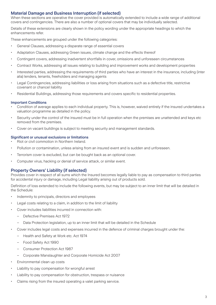## Material Damage and Business Interruption (if selected)

When these sections are operative the cover provided is automatically extended to include a wide range of additional covers and contingencies. There are also a number of optional covers that may be individually selected.

Details of these extensions are clearly shown in the policy wording under the appropriate headings to which the enhancements refer.

These enhancements are grouped under the following categories:

- General Clauses, addressing a disparate range of essential covers
- Adaptation Clauses, addressing Green issues, climate change and the effects thereof
- Contingent covers, addressing inadvertent shortfalls in cover, omissions and unforeseen circumstances
- Contract Works, addressing all issues relating to building and improvement works and development properties
- Interested parties, addressing the requirements of third parties who have an interest in the insurance, including (inter alia) lenders, tenants, freeholders and managing agents
- Legal Contingencies, addressing liabilities or loss arising from situations such as a defective title, restrictive covenant or chancel liability
- Residential Buildings, addressing those requirements and covers specific to residential properties.

#### Important Conditions

- Condition of average applies to each individual property. This is, however, waived entirely if the insured undertakes a valuation programme as detailed in the policy.
- Security under the control of the insured must be in full operation when the premises are unattended and keys etc removed from the premises.
- Cover on vacant buildings is subject to meeting security and management standards.

#### Significant or unusual exclusions or limitations

- Riot or civil commotion in Northern Ireland.
- Pollution or contamination, unless arising from an insured event and is sudden and unforeseen.
- Terrorism cover is excluded, but can be bought back as an optional cover.
- Computer virus, hacking or denial of service attack, or similar event.

## Property Owners' Liability (if selected)

Provides cover in respect of all sums which the Insured becomes legally liable to pay as compensation to third parties for accidental injury or damage, including Legal liability arising out of products sold.

Definition of loss extended to include the following events, but may be subject to an inner limit that will be detailed in the Schedule:

- Indemnity to principals, directors and employees
- Legal costs relating to a claim, in addition to the limit of liability
- Cover includes liabilities incurred in connection with:
	- Defective Premises Act 1972
	- Data Protection legislation, up to an inner limit that will be detailed in the Schedule
- Cover includes legal costs and expenses incurred in the defence of criminal charges brought under the:
	- Health and Safety at Work etc. Act 1974
	- Food Safety Act 1990
	- Consumer Protection Act 1987
	- Corporate Manslaughter and Corporate Homicide Act 2007
- Environmental clean up costs
- Liability to pay compensation for wrongful arrest
- Liability to pay compensation for obstruction, trespass or nuisance
- Claims rising from the insured operating a valet parking service.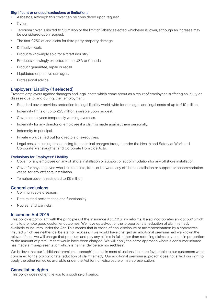#### Significant or unusual exclusions or limitations

- Asbestos, although this cover can be considered upon request.
- Cyber.
- Terrorism cover is limited to £5 million or the limit of liability selected whichever is lower, although an increase may be considered upon request.
- The first £250 of and claim for third party property damage.
- Defective work.
- Products knowingly sold for aircraft industry.
- Products knowingly exported to the USA or Canada.
- Product guarantee, repair or recall.
- Liquidated or punitive damages.
- Professional advice.

## Employers' Liability (if selected)

Protects employers against damages and legal costs which come about as a result of employees suffering an injury or disease due to, and during, their employment.

- Standard cover provides protection for legal liability world-wide for damages and legal costs of up to £10 million.
- Indemnity limits of up to £25 million available upon request.
- Covers employees temporarily working overseas.
- Indemnity for any director or employee if a claim is made against them personally.
- Indemnity to principal.
- Private work carried out for directors or executives.
- Legal costs including those arising from criminal charges brought under the Health and Safety at Work and Corporate Manslaughter and Corporate Homicide Acts.

#### Exclusions for Employers' Liability

- Cover for any employee on any offshore installation or support or accommodation for any offshore installation.
- Cover for any employee who is in transit to, from, or between any offshore installation or support or accommodation vessel for any offshore installation.
- Terrorism cover is restricted to £5 million.

## General exclusions

- Communicable diseases.
- Date related performance and functionality.
- Nuclear and war risks.

#### Insurance Act 2015

This policy is compliant with the principles of the Insurance Act 2015 law reforms. It also incorporates an 'opt out' which aims to promote good customer outcomes. We have opted-out of the 'proportionate reduction of claim remedy' available to insurers under the Act. This means that in cases of non-disclosure or misrepresentation by a commercial insured which are neither deliberate nor reckless, if we would have charged an additional premium had we known the relevant facts, we will charge that premium and pay any claims in full rather than reducing claims payments in proportion to the amount of premium that would have been charged. We will apply the same approach where a consumer insured has made a misrepresentation which is neither deliberate nor reckless.

We believe that our 'additional premium approach' should, in most situations, be more favourable to our customers when compared to the proportionate reduction of claim remedy. Our additional premium approach does not affect our right to apply the other remedies available under the Act for non-disclosure or misrepresentation.

## Cancellation rights

This policy does not entitle you to a cooling-off period.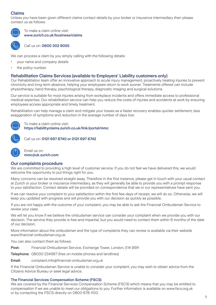## Claims

Unless you have been given different claims contact details by your broker or insurance intermediary then please contact us as follows:



To make a claim online visit: www.zurich.co.uk/business/claims



Call us on: 0800 302 9055

We can process a claim by you simply calling with the following details:

- your name and company details
- the policy number.

### Rehabilitation Claims Services (available to Employers' Liability customers only)

Our Rehabilitation team offer an innovative approach to acute injury management, proactively treating injuries to prevent chronicity and long-term absence, helping your employees return to work sooner. Treatments offered can include physiotherapy, hand therapy, psychological therapy, diagnostic imaging and surgical solutions.

Our service is suitable for most injuries arising from workplace incidents and offers immediate access to professional medical expertise. Our rehabilitation service can help you reduce the costs of injuries and accidents at work by ensuring employees access appropriate and timely treatment.

Rehabilitation can help manage a claim and mitigate your losses as a faster recovery enables quicker settlement, less exaggeration of symptoms and reduction in the average number of days lost.



To make a claim online visit: https://liabilityclaims.zurich.co.uk/link/portal/mmc



Call us on: 0121 697 8740 or 0121 697 8742



Email us on: mmc@uk.zurich.com

#### Our complaints procedure

We are committed to providing a high level of customer service. If you do not feel we have delivered this, we would welcome the opportunity to put things right for you.

Many concerns can be resolved straight away. Therefore in the first instance, please get in touch with your usual contact at Zurich or your broker or insurance intermediary, as they will generally be able to provide you with a prompt response to your satisfaction. Contact details will be provided on correspondence that we or our representatives have sent you.

If we can resolve your complaint to your satisfaction within the first few days of receipt, we will do so. Otherwise, we will keep you updated with progress and will provide you with our decision as quickly as possible.

If you are not happy with the outcome of your complaint, you may be able to ask the Financial Ombudsman Service to review your case.

We will let you know if we believe the ombudsman service can consider your complaint when we provide you with our decision. The service they provide is free and impartial, but you would need to contact them within 6 months of the date of our decision.

More information about the ombudsman and the type of complaints they can review is available via their website www.financial-ombudsman.org.uk.

You can also contact them as follows:

Post: Financial Ombudsman Service, Exchange Tower, London, E14 9SR

Telephone: 08000 234567 (free on mobile phones and landlines)

Email: complaint.info@financial-ombudsman.org.uk

If the Financial Ombudsman Service is unable to consider your complaint, you may wish to obtain advice from the Citizens Advice Bureau or seek legal advice.

#### The Financial Services Compensation Scheme (FSCS)

We are covered by the Financial Services Compensation Scheme (FSCS) which means that you may be entitled to compensation if we are unable to meet our obligations to you. Further information is available on www.fscs.org.uk or by contacting the FSCS directly on 0800 678 1100.